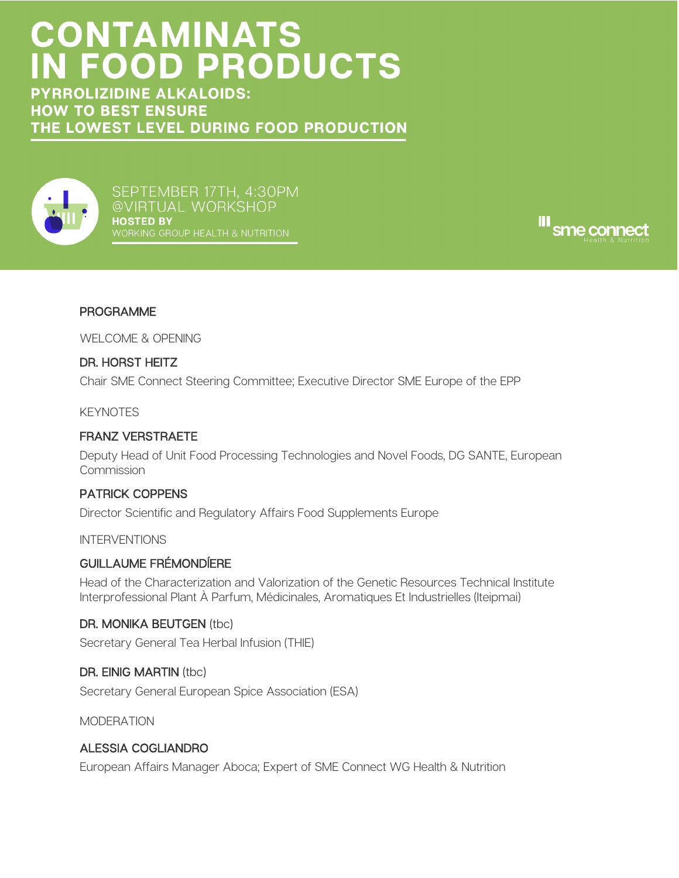# **CONTAMINATS<br>IN FOOD PRODUCTS**

**PYRROLIZIDINE ALKALOIDS: HOW TO BEST ENSURE** THE LOWEST LEVEL DURING FOOD PRODUCTION



SEPTEMBER 17TH, 4:30PM @VIRTUAL WORKSHOP **HOSTED BY** 



# PROGRAMME

WELCOME & OPENING

## DR. HORST HEITZ

Chair SME Connect Steering Committee; Executive Director SME Europe of the EPP

**KFYNOTFS** 

### FRANZ VERSTRAETE

Deputy Head of Unit Food Processing Technologies and Novel Foods, DG SANTE, European Commission

## PATRICK COPPENS

Director Scientific and Regulatory Affairs Food Supplements Europe

INTERVENTIONS

#### GUILLAUME FRÉMONDÍERE

Head of the Characterization and Valorization of the Genetic Resources Technical Institute Interprofessional Plant À Parfum, Médicinales, Aromatiques Et Industrielles (Iteipmai)

#### DR. MONIKA BEUTGEN (tbc)

Secretary General Tea Herbal Infusion (THIE)

## DR. EINIG MARTIN (tbc)

Secretary General European Spice Association (ESA)

MODERATION

## ALESSIA COGLIANDRO

European Affairs Manager Aboca; Expert of SME Connect WG Health & Nutrition